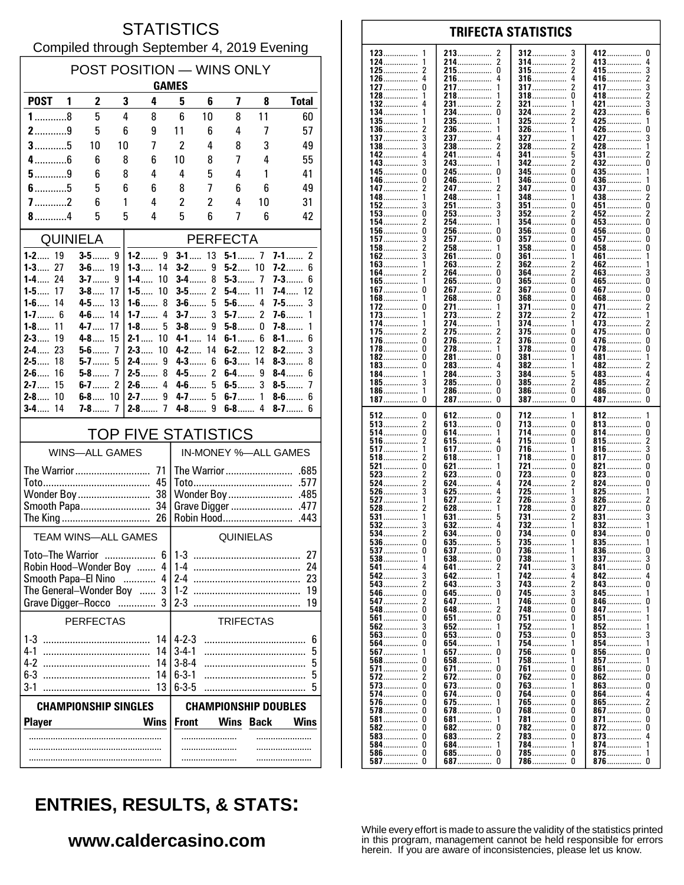#### **STATISTICS** Compiled through September 4, 2019 Evening

| POST POSITION - WINS ONLY<br><b>GAMES</b>                  |                                                            |                |                             |                            |                                |                       |             |                            |  |
|------------------------------------------------------------|------------------------------------------------------------|----------------|-----------------------------|----------------------------|--------------------------------|-----------------------|-------------|----------------------------|--|
| <b>POST</b>                                                | 2<br>1                                                     | 3              | 4                           | 5                          | 6                              | 7                     | 8           | <b>Total</b>               |  |
| $1$ 8                                                      | 5                                                          | 4              | 8                           | 6                          | 10                             | 8                     | 11          | 60                         |  |
| $2$ 9                                                      | 5                                                          | 6              | 9                           | 11                         | 6                              | 4                     | 7           | 57                         |  |
| $3$ 5                                                      | 10                                                         | 10             | 7                           | $\overline{c}$             | 4                              | 8                     | 3           | 49                         |  |
| $4$ 6                                                      | 6                                                          | 8              | 6                           | 10                         | 8                              | 7                     | 4           | 55                         |  |
| $5$ 9                                                      | 6                                                          | 8              | 4                           | 4                          | 5                              | 4                     | 1           | 41                         |  |
| $6$ 5                                                      | 5                                                          | 6              | 6                           | 8                          | 7                              | 6                     | 6           | 49                         |  |
| $7$ 2                                                      | 6                                                          | 1              | 4                           | 2                          | 2                              | 4                     | 10          | 31                         |  |
| $8$ 4<br>5<br>6<br>7<br>5<br>5<br>4<br>6<br>42             |                                                            |                |                             |                            |                                |                       |             |                            |  |
|                                                            | <b>QUINIELA</b>                                            |                |                             |                            |                                | <b>PERFECTA</b>       |             |                            |  |
| $1 - 2$ 19<br>$1 - 3$<br>27                                | <b>3-5</b> ……<br>$3 - 6$ 19                                | 9              | $1 - 2$ 9<br>$1 - 3$ 14     |                            | $3 - 1$ 13                     | $5-1$ 7<br>$5 - 2$ 10 |             | $7 - 1$ 2<br>$7-2$<br>6    |  |
| $1 - 4$ 24                                                 |                                                            |                | 1-4……<br>10                 | $3-4$                      | 8                              | 5-3……                 | 7           | 7-3……<br>6                 |  |
| $1 - 5$ 17                                                 | $3 - 8$ 17                                                 |                | 10<br>1-5……                 | $3-5$                      | $\overline{2}$                 | 5-4                   | 11          | $7 - 4$ 12                 |  |
| $1 - 6$ 14<br>1-7…… 6                                      | $4 - 5$<br>4-6                                             | 13<br>14       | $1 - 6$ 8<br>$1 - 7$<br>4   | $3-6$<br>$3-7$             | 5<br>3                         | $5-6$<br>5-7          | 4<br>2      | $7-5$<br>3<br>$7-6$<br>1   |  |
| $1 - 8$<br>11                                              | 4-7                                                        | 17             | $1 - 8$ 5                   | $3-8$                      | 9                              | 5-8……                 | 0           | 7-8……<br>1                 |  |
| $2 - 3$<br>19                                              | $4-8$                                                      | 15             | $2 - 1$ 10                  |                            | $4 - 1$ 14                     | $6-1$                 | 6           | $8-1$<br>6                 |  |
| 23<br>$2 - 4$<br>$2 - 5$<br>18                             | $5-6$<br>$5-7$                                             | 7<br>5         | $2 - 3$<br>10<br>2-4……<br>9 | $4-2$<br>$4 - 3$           | 14<br>6                        | $6-2$<br>$6-3$        | 12<br>14    | 3<br>$8-2$<br>$8-3$<br>8   |  |
| $2 - 6$<br>16                                              | $5-8$                                                      | 7              | 8<br>2-5……                  | 4-5……                      | 2                              | 6-4                   | 9           | 8-4……<br>6                 |  |
| 15<br>$2 - 7$                                              | 6-7……                                                      | $\overline{c}$ | $2-6$<br>4                  | $4-6$                      | 5                              | $6-5$                 | 3           | $8-5$<br>7                 |  |
| $2 - 8$<br>10<br>$3-4$<br>14                               | $6 - 8$ 10<br><b>7-8</b> ……                                | 7              | 9<br>$2 - 7$<br>$2-8$<br>7  | 4-7……<br>$4-8$             | 5<br>9                         | $6-7$<br>$6-8$        | 1<br>4      | $8-6$<br>6<br>$8 - 7$<br>6 |  |
| <b>TOP FIVE STATISTICS</b>                                 |                                                            |                |                             |                            |                                |                       |             |                            |  |
|                                                            | <b>WINS-ALL GAMES</b>                                      |                |                             |                            |                                |                       |             | IN-MONEY %-ALL GAMES       |  |
|                                                            | The Warrior<br>The Warrior<br>71<br>.685                   |                |                             |                            |                                |                       |             |                            |  |
|                                                            |                                                            |                | 45                          |                            | .577<br>Wonder Boy<br>.485     |                       |             |                            |  |
| Wonder Boy<br>38<br>Smooth Papa 34                         |                                                            |                |                             |                            |                                |                       |             |                            |  |
| Robin Hood<br>.443                                         |                                                            |                |                             |                            |                                |                       |             |                            |  |
| <b>TEAM WINS-ALL GAMES</b>                                 |                                                            |                |                             | QUINIELAS                  |                                |                       |             |                            |  |
| 6 <sup>1</sup><br>Toto-The Warrior                         |                                                            |                |                             |                            | $1 - 3$<br>27<br>              |                       |             |                            |  |
| Robin Hood-Wonder Boy<br>4                                 |                                                            |                |                             | $1-4$<br>24                |                                |                       |             |                            |  |
| Smooth Papa-El Nino<br>4<br>.<br>The General-Wonder Boy  3 |                                                            |                |                             |                            | $2 - 4$<br>23<br>$1 - 2$<br>19 |                       |             |                            |  |
| 3<br>Grave Digger-Rocco<br>$2-3$                           |                                                            |                |                             |                            |                                | 19                    |             |                            |  |
| <b>PERFECTAS</b><br><b>TRIFECTAS</b>                       |                                                            |                |                             |                            |                                |                       |             |                            |  |
| $1-3$                                                      |                                                            |                | 14                          | $4-2-3$                    |                                |                       |             | 6                          |  |
| 4-1                                                        |                                                            |                | 14                          | $3 - 4 - 1$                |                                |                       |             | 5                          |  |
| 4-2<br>6-3                                                 |                                                            |                | 14<br>14                    | $3 - 8 - 4$<br>$6 - 3 - 1$ |                                |                       |             | 5<br>5                     |  |
| $3-1$                                                      |                                                            |                | 13                          | $6 - 3 - 5$                |                                |                       |             | 5                          |  |
|                                                            | <b>CHAMPIONSHIP SINGLES</b><br><b>CHAMPIONSHIP DOUBLES</b> |                |                             |                            |                                |                       |             |                            |  |
| <b>Player</b>                                              |                                                            |                | <b>Wins</b>                 | <b>Front</b>               |                                | Wins                  | <b>Back</b> | <b>Wins</b>                |  |
| .                                                          |                                                            |                |                             |                            |                                |                       |             |                            |  |
|                                                            |                                                            |                |                             |                            |                                |                       |             |                            |  |
|                                                            |                                                            |                |                             |                            |                                |                       |             |                            |  |

| <u> 123.</u>         | 213                       | 312                    | 412                       |
|----------------------|---------------------------|------------------------|---------------------------|
| -1                   | z                         | 3                      | U                         |
| 124                  | 214<br>2                  | 314<br>2               | 413                       |
| 125……………             | 215……………                  | 2<br><b>315</b>        | 415……………<br>3             |
| 126                  | 216……………                  | 316                    | 2<br>416                  |
| 127                  | 217                       | 317                    | 417                       |
| 0                    | 1                         | 2                      | 3                         |
| 128                  | 218                       | 318                    | 418                       |
|                      | 1                         | 0                      | 2                         |
| $132$                | 231                       | 321                    | 421                       |
|                      | 2                         | 1                      | 3                         |
| 134                  | 234                       | 324                    | 423                       |
|                      | 0                         | 2                      | 6                         |
| $135$<br>1<br>2      | 235<br>1                  | $325$<br>2             | 425<br>1                  |
| 136<br>137           | 236<br>1<br>237<br>4      | $326$<br>1<br>327<br>1 | 426<br>0<br>427<br>3      |
| 138……………             | 2                         | 328……………               | 428                       |
|                      | 238                       | 2                      | 1                         |
| 142                  | 241                       | 341                    | 431                       |
| 4                    | 4                         | 5                      | 2                         |
| 143……………             | 243……………                  | 342                    | 432                       |
| 3                    | 1                         | 2                      | 0                         |
| 145.                 | 245                       | 345                    | 435                       |
| 0                    | 0                         | 0                      | 1                         |
| 146……………             | 246……………                  | 346……………               | 436……………                  |
| 0                    | 1                         | U                      | 1                         |
| 2                    | 247                       | 347                    | 437                       |
| 147……………             | 2                         | 0                      | 0                         |
| 148……………             | 248……………                  | 348                    | 438……………                  |
| 1                    | 1                         | 1                      | 2                         |
| 152                  | 251                       | 351                    | 451                       |
|                      | 3                         | 0                      | 0                         |
| 153                  | 3                         | <b>352</b>             | 452                       |
| 0                    | 253                       | 2                      | 2                         |
| 154……………             | 254……………                  | 354                    | 453                       |
| 2                    | 1                         | 0                      | 0                         |
| 156……………             | 256……………                  | 356                    | 456……………                  |
| 0                    | 0                         | 0                      | 0                         |
| 157                  | 257<br>0                  | <b>357</b>             | 457<br>0                  |
| 158……………             | 258……………                  | 358                    | 458……………                  |
|                      | 1                         | 0                      | 0                         |
| 162                  | 261                       | <b>361</b>             | 461                       |
| 3                    | 0                         | 1                      | 1                         |
| 163                  | 2                         | 362                    | 462                       |
| 1                    | 263                       | 2                      | 1                         |
| 164<br>165……………      | 264<br>0<br>265……………<br>0 | 364<br>$365$<br>0      | 463<br>3<br>465……………<br>0 |
| 167                  | 267                       | 367                    | 467                       |
| 0                    | 2                         | 0                      | 0                         |
| 168                  | 268                       | $368$                  | 468                       |
| 1                    | 0                         | 0                      | 0                         |
| 172                  | 271<br>1                  | 371                    | 471<br>2                  |
| 173                  | 2<br>273                  | 2<br>372               | 472                       |
| 174                  | 274<br>1                  | 374                    | 473<br>2                  |
| 2                    | 275                       | <b>375</b>             | 475                       |
| 175……………             | 2                         | U                      | 0                         |
| 176                  | 2                         | $376$                  | 476                       |
| 0                    | 276……………                  | U                      | 0                         |
| $178$                | 278                       | $378$                  | 478                       |
|                      | 1                         | 0                      | 0                         |
| 182                  | 281                       | 381                    | 481                       |
| 0                    | 0                         | 1                      | 1                         |
| 183                  | 283                       | 382                    | 482                       |
|                      | 4                         | 1                      | 2                         |
| 184……………             | 284……………                  | 384<br>5               | 483<br>4                  |
| $185$                | 285……………                  | $385$                  | 485                       |
| 3                    | 0                         | 2                      | 2                         |
| 186                  | 286                       | $386$                  | 486                       |
| 1                    | 0                         | 0                      | 0                         |
| 187……………             | 287……………                  | 387                    | 487<br>0                  |
|                      |                           |                        |                           |
|                      |                           |                        |                           |
| <b>512</b>           | 612                       | 712                    | 812                       |
| 0                    | 0                         | 1                      | 1                         |
| $513$                | 613                       | 713                    | 813                       |
| 2                    | 0                         | 0                      | 0                         |
| 514                  | 614                       | 714……………               | 814                       |
|                      | 1                         | 0                      | 0                         |
| 516                  | 615<br>0                  | 715<br>1               | 2<br>815<br>3             |
| 517                  | 617                       | 716                    | 816                       |
| 2                    | 1                         | 0                      | 0                         |
| $518$<br>521         | 618<br>1                  | 718<br>721<br>0        | 817<br>0                  |
| $523$                | 621<br>0                  | 723<br>0               | 821<br>823<br>0           |
| 524<br>2             | 623<br>624<br>4           | 724<br>2               | 824<br>0                  |
| $526$                | 625                       | 725                    | 825                       |
|                      | 4                         | 1                      | 1                         |
| 527                  | 627                       | 726                    | 826<br>2                  |
| $528$                | 628                       | 728                    | 827                       |
| 2                    | 1                         | 0                      | 0                         |
| 531                  | 631<br>5                  | 731                    | 831                       |
| 532                  | 632                       | 732                    | $832$                     |
|                      | 4                         | 1                      | 1                         |
| 534                  | 634                       | 734……………               | 834                       |
| 2                    | 0                         | 0                      | 0                         |
| $536$<br>0           | 635                       | 735                    | $835$                     |
|                      | <b>637</b>                | 736                    | 836                       |
|                      | 0                         | 1                      | 0                         |
| 538<br>1             | $638$<br>0<br>641         | 738<br>1               | 837<br>3<br>841<br>0      |
| 541……………<br>542<br>3 | 1                         | 741<br>4               | 4                         |
|                      | 642<br>643<br>3           | 742<br>743             | 842<br>843<br>0           |
|                      | 645                       | 745                    | 845                       |
|                      | 0                         | 3                      | 1                         |
|                      | 647                       | 746                    | 846                       |
|                      | 1                         | 0                      | 0                         |
|                      | 2<br>648                  | 748<br>0               | 847                       |
| 561                  | $651$                     | 751                    | $851$                     |
| 0                    | 0                         | 0                      | 1                         |
| 562                  | 652                       | 752                    | $852$                     |
| 3                    | 1                         | 1                      | 1                         |
| $563$                | 653                       | 753                    | 853                       |
| 0                    | 0                         | U                      |                           |
| 564                  | 654                       | 754……………               | 854……………                  |
| 0                    | 1                         | 1                      | 1                         |
| <b>567</b>           | 657                       | 756                    | 856                       |
| 1                    | 0                         | 0                      | 0                         |
|                      | $658$                     | $758$                  | 857                       |
|                      | 1                         | 1                      | 1                         |
| <b>571</b> 0         | 671<br>0                  | 761                    | 861<br>U                  |
| $572$                | $672$                     | 762                    | 862                       |
| 2                    | 0                         | U                      | 0                         |
|                      | $673$                     | 763                    | 863                       |
|                      | 0                         | 1                      | 0                         |
| 574……………… 0          | 674                       | 764                    | 864                       |
|                      | 0                         | U                      | 4                         |
| 576 0                | $675$<br>1                | 765                    | 865<br>2                  |
| 578<br>0             | 678<br>0                  | 768<br>0<br>0          | 867<br>0                  |
|                      | 681<br>1<br>0             | 781                    | 871<br>0<br>0             |
|                      | 682<br>2                  | 782  0<br>U            | 872                       |
|                      | $683 \ldots$<br>684<br>1  | 783<br>784<br>1        | 873<br>874<br>1           |
|                      |                           | <b>785</b> 0           | 875<br>1                  |

**TRIFECTA STATISTICS** 

# **ENTRIES, RESULTS, & STATS:**

#### www.caldercasino.com